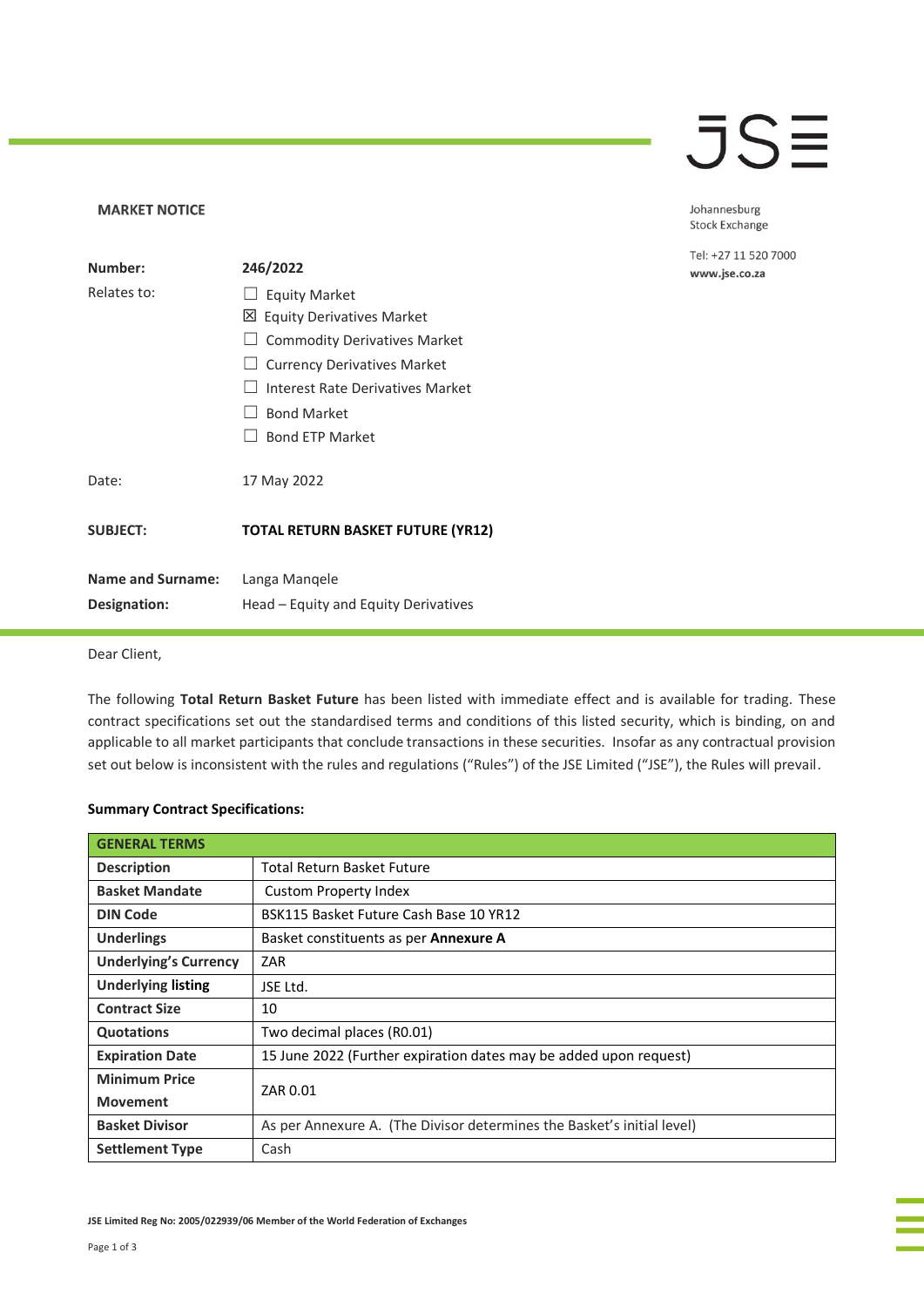## **JSE**

Johannesburg Stock Exchange

Tel: +27 11 520 7000 www.jse.co.za

#### **MARKET NOTICE**

| Number:                  | 246/2022                                 |  |  |
|--------------------------|------------------------------------------|--|--|
| Relates to:              | <b>Equity Market</b>                     |  |  |
|                          | ⊠ Equity Derivatives Market              |  |  |
|                          | <b>Commodity Derivatives Market</b>      |  |  |
|                          | <b>Currency Derivatives Market</b>       |  |  |
|                          | Interest Rate Derivatives Market         |  |  |
|                          | <b>Bond Market</b>                       |  |  |
|                          | <b>Bond ETP Market</b>                   |  |  |
|                          |                                          |  |  |
| Date:                    | 17 May 2022                              |  |  |
|                          |                                          |  |  |
| <b>SUBJECT:</b>          | <b>TOTAL RETURN BASKET FUTURE (YR12)</b> |  |  |
|                          |                                          |  |  |
| <b>Name and Surname:</b> | Langa Mangele                            |  |  |
| Designation:             | Head – Equity and Equity Derivatives     |  |  |

Dear Client,

The following **Total Return Basket Future** has been listed with immediate effect and is available for trading. These contract specifications set out the standardised terms and conditions of this listed security, which is binding, on and applicable to all market participants that conclude transactions in these securities. Insofar as any contractual provision set out below is inconsistent with the rules and regulations ("Rules") of the JSE Limited ("JSE"), the Rules will prevail.

#### **Summary Contract Specifications:**

| <b>GENERAL TERMS</b>         |                                                                        |  |  |  |
|------------------------------|------------------------------------------------------------------------|--|--|--|
| <b>Description</b>           | <b>Total Return Basket Future</b>                                      |  |  |  |
| <b>Basket Mandate</b>        | <b>Custom Property Index</b>                                           |  |  |  |
| <b>DIN Code</b>              | BSK115 Basket Future Cash Base 10 YR12                                 |  |  |  |
| <b>Underlings</b>            | Basket constituents as per <b>Annexure A</b>                           |  |  |  |
| <b>Underlying's Currency</b> | ZAR                                                                    |  |  |  |
| <b>Underlying listing</b>    | JSE Ltd.                                                               |  |  |  |
| <b>Contract Size</b>         | 10                                                                     |  |  |  |
| Quotations                   | Two decimal places (R0.01)                                             |  |  |  |
| <b>Expiration Date</b>       | 15 June 2022 (Further expiration dates may be added upon request)      |  |  |  |
| <b>Minimum Price</b>         | ZAR 0.01                                                               |  |  |  |
| <b>Movement</b>              |                                                                        |  |  |  |
| <b>Basket Divisor</b>        | As per Annexure A. (The Divisor determines the Basket's initial level) |  |  |  |
| <b>Settlement Type</b>       | Cash                                                                   |  |  |  |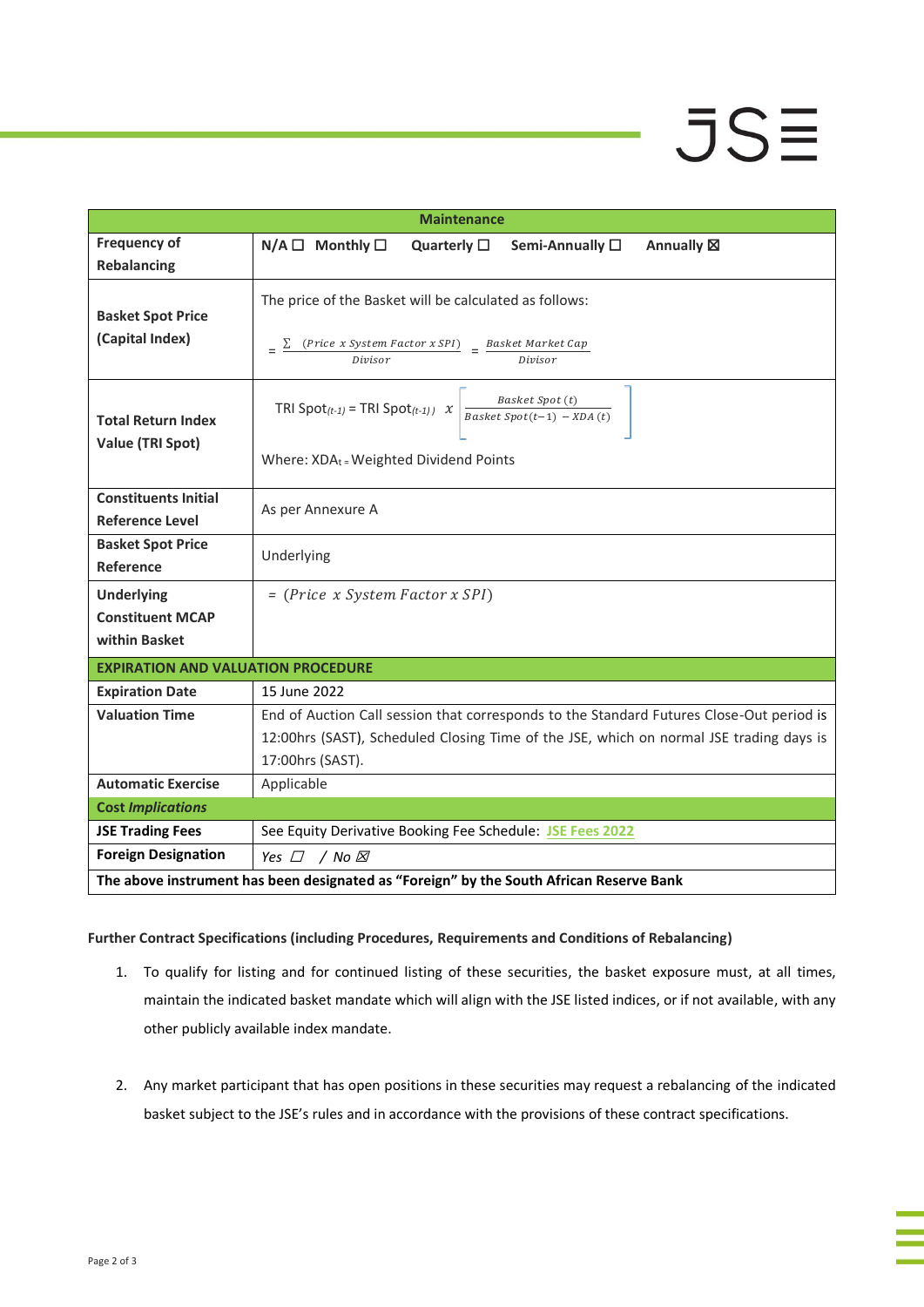# **JSE**

| <b>Maintenance</b>                                                                      |                                                                                             |  |  |  |  |  |  |
|-----------------------------------------------------------------------------------------|---------------------------------------------------------------------------------------------|--|--|--|--|--|--|
| <b>Frequency of</b>                                                                     | $N/A \Box$ Monthly $\square$<br>Quarterly $\square$<br>Semi-Annually □<br>Annually <b>図</b> |  |  |  |  |  |  |
| <b>Rebalancing</b>                                                                      |                                                                                             |  |  |  |  |  |  |
| <b>Basket Spot Price</b><br>(Capital Index)                                             | The price of the Basket will be calculated as follows:                                      |  |  |  |  |  |  |
|                                                                                         | (Price x System Factor x SPI)<br>Basket Market Cap<br>Divisor<br>Divisor                    |  |  |  |  |  |  |
| <b>Total Return Index</b><br>Value (TRI Spot)                                           | Basket Spot (t)<br>TRI Spot $(t-1)$ = TRI Spot $(t-1)$ x<br>Basket Spot $(t-1)$ - XDA(t)    |  |  |  |  |  |  |
|                                                                                         | Where: XDAt = Weighted Dividend Points                                                      |  |  |  |  |  |  |
| <b>Constituents Initial</b><br><b>Reference Level</b>                                   | As per Annexure A                                                                           |  |  |  |  |  |  |
| <b>Basket Spot Price</b><br>Reference                                                   | Underlying                                                                                  |  |  |  |  |  |  |
| <b>Underlying</b>                                                                       | $= (Price x System Factor x SPI)$                                                           |  |  |  |  |  |  |
| <b>Constituent MCAP</b>                                                                 |                                                                                             |  |  |  |  |  |  |
| within Basket                                                                           |                                                                                             |  |  |  |  |  |  |
| <b>EXPIRATION AND VALUATION PROCEDURE</b>                                               |                                                                                             |  |  |  |  |  |  |
| <b>Expiration Date</b>                                                                  | 15 June 2022                                                                                |  |  |  |  |  |  |
| <b>Valuation Time</b>                                                                   | End of Auction Call session that corresponds to the Standard Futures Close-Out period is    |  |  |  |  |  |  |
|                                                                                         | 12:00hrs (SAST), Scheduled Closing Time of the JSE, which on normal JSE trading days is     |  |  |  |  |  |  |
|                                                                                         | 17:00hrs (SAST).                                                                            |  |  |  |  |  |  |
| <b>Automatic Exercise</b>                                                               | Applicable                                                                                  |  |  |  |  |  |  |
| <b>Cost Implications</b>                                                                |                                                                                             |  |  |  |  |  |  |
| <b>JSE Trading Fees</b>                                                                 | See Equity Derivative Booking Fee Schedule: JSE Fees 2022                                   |  |  |  |  |  |  |
| <b>Foreign Designation</b>                                                              | Yes $\Box$ / No $\boxtimes$                                                                 |  |  |  |  |  |  |
| The above instrument has been designated as "Foreign" by the South African Reserve Bank |                                                                                             |  |  |  |  |  |  |

### **Further Contract Specifications (including Procedures, Requirements and Conditions of Rebalancing)**

- 1. To qualify for listing and for continued listing of these securities, the basket exposure must, at all times, maintain the indicated basket mandate which will align with the JSE listed indices, or if not available, with any other publicly available index mandate.
- 2. Any market participant that has open positions in these securities may request a rebalancing of the indicated basket subject to the JSE's rules and in accordance with the provisions of these contract specifications.